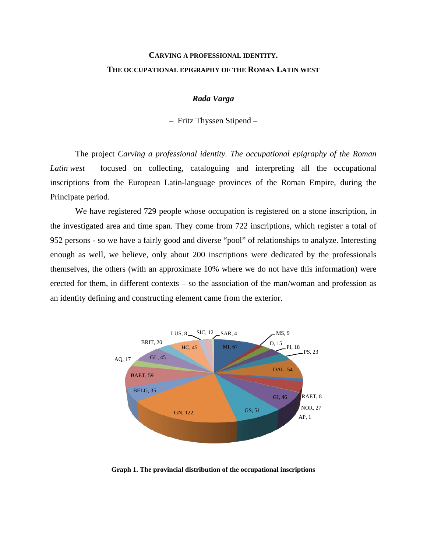## **CARVING A PROFESSIONAL IDENTITY. THE OCCUPATIONAL EPIGRAPHY OF THE ROMAN LATIN WEST**

## *Rada Varga*

– Fritz Thyssen Stipend –

The project *Carving a professional identity. The occupational epigraphy of the Roman Latin west* focused on collecting, cataloguing and interpreting all the occupational inscriptions from the European Latin-language provinces of the Roman Empire, during the Principate period.

We have registered 729 people whose occupation is registered on a stone inscription, in the investigated area and time span. They come from 722 inscriptions, which register a total of 952 persons - so we have a fairly good and diverse "pool" of relationships to analyze. Interesting enough as well, we believe, only about 200 inscriptions were dedicated by the professionals themselves, the others (with an approximate 10% where we do not have this information) were erected for them, in different contexts – so the association of the man/woman and profession as an identity defining and constructing element came from the exterior.



**Graph 1. The provincial distribution of the occupational inscriptions**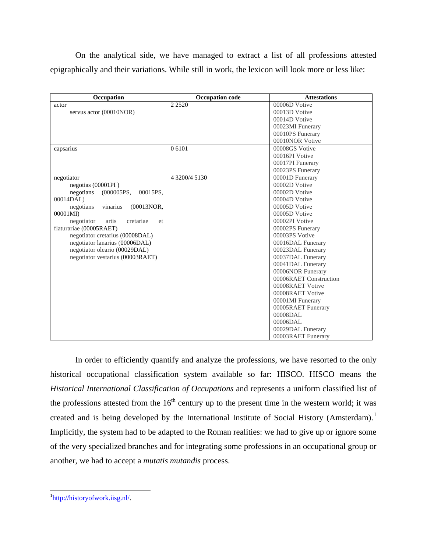On the analytical side, we have managed to extract a list of all professions attested epigraphically and their variations. While still in work, the lexicon will look more or less like:

| Occupation                              | <b>Occupation code</b> | <b>Attestations</b>    |
|-----------------------------------------|------------------------|------------------------|
| actor                                   | 2 2 5 2 0              | 00006D Votive          |
| servus actor (00010NOR)                 |                        | 00013D Votive          |
|                                         |                        | 00014D Votive          |
|                                         |                        | 00023MI Funerary       |
|                                         |                        | 00010PS Funerary       |
|                                         |                        | 00010NOR Votive        |
| capsarius                               | 0 6101                 | 00008GS Votive         |
|                                         |                        | 00016PI Votive         |
|                                         |                        | 00017PI Funerary       |
|                                         |                        | 00023PS Funerary       |
| negotiator                              | 4 3200/4 5130          | 00001D Funerary        |
| negotias $(00001PI)$                    |                        | 00002D Votive          |
| negotians<br>(000005PS,<br>00015PS,     |                        | 00002D Votive          |
| 00014DAL)                               |                        | 00004D Votive          |
| vinarius<br>(00013NOR,<br>negotians     |                        | 00005D Votive          |
| 00001MI)                                |                        | 00005D Votive          |
| negotiator<br>artis<br>cretariae<br>et. |                        | 00002PI Votive         |
| flaturariae (00005RAET)                 |                        | 00002PS Funerary       |
| negotiator cretarius (00008DAL)         |                        | 00003PS Votive         |
| negotiator lanarius (00006DAL)          |                        | 00016DAL Funerary      |
| negotiator oleario (00029DAL)           |                        | 00023DAL Funerary      |
| negotiator vestarius (00003RAET)        |                        | 00037DAL Funerary      |
|                                         |                        | 00041DAL Funerary      |
|                                         |                        | 00006NOR Funerary      |
|                                         |                        | 00006RAET Construction |
|                                         |                        | 00008RAET Votive       |
|                                         |                        | 00008RAET Votive       |
|                                         |                        | 00001MI Funerary       |
|                                         |                        | 00005RAET Funerary     |
|                                         |                        | 00008DAL               |
|                                         |                        | 00006DAL               |
|                                         |                        | 00029DAL Funerary      |
|                                         |                        | 00003RAET Funerary     |

In order to efficiently quantify and analyze the professions, we have resorted to the only historical occupational classification system available so far: HISCO. HISCO means the *Historical International Classification of Occupations* and represents a uniform classified list of the professions attested from the  $16<sup>th</sup>$  century up to the present time in the western world; it was created and is being developed by the International Institute of Social History (Amsterdam).<sup>[1](#page-1-0)</sup> Implicitly, the system had to be adapted to the Roman realities: we had to give up or ignore some of the very specialized branches and for integrating some professions in an occupational group or another, we had to accept a *mutatis mutandis* process.

<span id="page-1-0"></span><sup>&</sup>lt;sup>1</sup>[http://historyofwork.iisg.nl/.](http://historyofwork.iisg.nl/)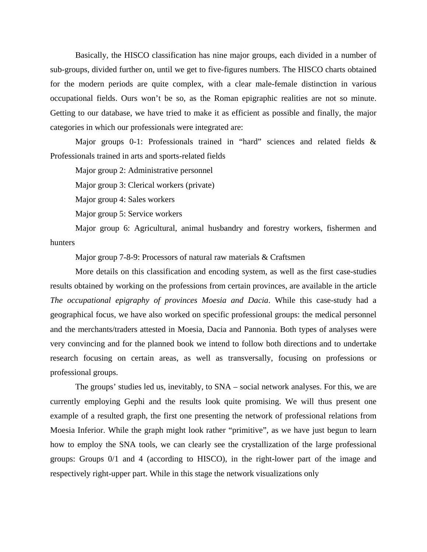Basically, the HISCO classification has nine major groups, each divided in a number of sub-groups, divided further on, until we get to five-figures numbers. The HISCO charts obtained for the modern periods are quite complex, with a clear male-female distinction in various occupational fields. Ours won't be so, as the Roman epigraphic realities are not so minute. Getting to our database, we have tried to make it as efficient as possible and finally, the major categories in which our professionals were integrated are:

Major groups 0-1: Professionals trained in "hard" sciences and related fields & Professionals trained in arts and sports-related fields

Major group 2: Administrative personnel

Major group 3: Clerical workers (private)

Major group 4: Sales workers

Major group 5: Service workers

Major group 6: Agricultural, animal husbandry and forestry workers, fishermen and hunters

Major group 7-8-9: Processors of natural raw materials & Craftsmen

More details on this classification and encoding system, as well as the first case-studies results obtained by working on the professions from certain provinces, are available in the article *The occupational epigraphy of provinces Moesia and Dacia*. While this case-study had a geographical focus, we have also worked on specific professional groups: the medical personnel and the merchants/traders attested in Moesia, Dacia and Pannonia. Both types of analyses were very convincing and for the planned book we intend to follow both directions and to undertake research focusing on certain areas, as well as transversally, focusing on professions or professional groups.

The groups' studies led us, inevitably, to SNA – social network analyses. For this, we are currently employing Gephi and the results look quite promising. We will thus present one example of a resulted graph, the first one presenting the network of professional relations from Moesia Inferior. While the graph might look rather "primitive", as we have just begun to learn how to employ the SNA tools, we can clearly see the crystallization of the large professional groups: Groups 0/1 and 4 (according to HISCO), in the right-lower part of the image and respectively right-upper part. While in this stage the network visualizations only